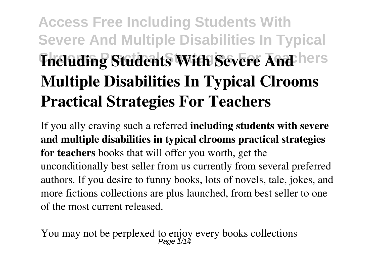## **Access Free Including Students With Severe And Multiple Disabilities In Typical Including Students With Severe And hers Multiple Disabilities In Typical Clrooms Practical Strategies For Teachers**

If you ally craving such a referred **including students with severe and multiple disabilities in typical clrooms practical strategies for teachers** books that will offer you worth, get the unconditionally best seller from us currently from several preferred authors. If you desire to funny books, lots of novels, tale, jokes, and more fictions collections are plus launched, from best seller to one of the most current released.

You may not be perplexed to enjoy every books collections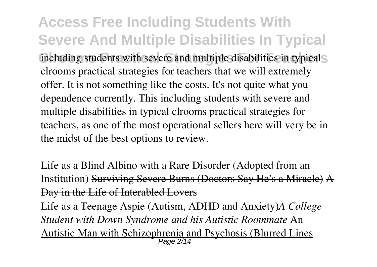**Access Free Including Students With Severe And Multiple Disabilities In Typical Conservations including students with severe and multiple disabilities in typicals** clrooms practical strategies for teachers that we will extremely offer. It is not something like the costs. It's not quite what you dependence currently. This including students with severe and multiple disabilities in typical clrooms practical strategies for teachers, as one of the most operational sellers here will very be in the midst of the best options to review.

Life as a Blind Albino with a Rare Disorder (Adopted from an Institution) Surviving Severe Burns (Doctors Say He's a Miracle) A Day in the Life of Interabled Lovers

Life as a Teenage Aspie (Autism, ADHD and Anxiety)*A College Student with Down Syndrome and his Autistic Roommate* An Autistic Man with Schizophrenia and Psychosis (Blurred Lines Page 2/14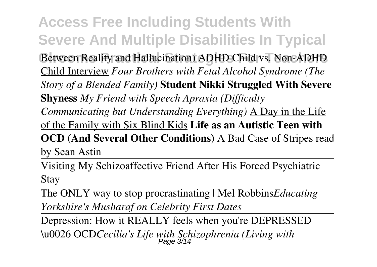**Access Free Including Students With Severe And Multiple Disabilities In Typical Between Reality and Hallucination) ADHD Child vs. Non-ADHD** Child Interview *Four Brothers with Fetal Alcohol Syndrome (The Story of a Blended Family)* **Student Nikki Struggled With Severe Shyness** *My Friend with Speech Apraxia (Difficulty Communicating but Understanding Everything)* A Day in the Life of the Family with Six Blind Kids **Life as an Autistic Teen with OCD (And Several Other Conditions)** A Bad Case of Stripes read by Sean Astin

Visiting My Schizoaffective Friend After His Forced Psychiatric Stay

The ONLY way to stop procrastinating | Mel Robbins*Educating Yorkshire's Musharaf on Celebrity First Dates*

Depression: How it REALLY feels when you're DEPRESSED \u0026 OCD*Cecilia's Life with Schizophrenia (Living with* Page 3/14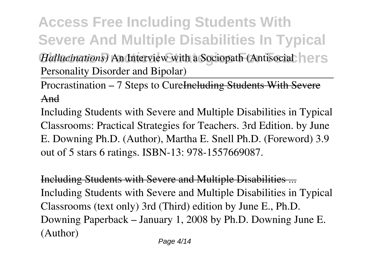**Access Free Including Students With Severe And Multiple Disabilities In Typical** *Hallucinations* An Interview with a Sociopath (Antisocial **Hers** Personality Disorder and Bipolar)

Procrastination – 7 Steps to Cure<del>Including Students With Severe</del> And

Including Students with Severe and Multiple Disabilities in Typical Classrooms: Practical Strategies for Teachers. 3rd Edition. by June E. Downing Ph.D. (Author), Martha E. Snell Ph.D. (Foreword) 3.9 out of 5 stars 6 ratings. ISBN-13: 978-1557669087.

Including Students with Severe and Multiple Disabilities ... Including Students with Severe and Multiple Disabilities in Typical Classrooms (text only) 3rd (Third) edition by June E., Ph.D. Downing Paperback – January 1, 2008 by Ph.D. Downing June E. (Author)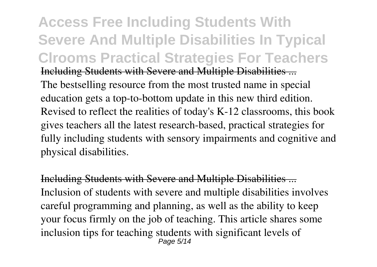**Access Free Including Students With Severe And Multiple Disabilities In Typical Clrooms Practical Strategies For Teachers** Including Students with Severe and Multiple Disabilities ... The bestselling resource from the most trusted name in special education gets a top-to-bottom update in this new third edition. Revised to reflect the realities of today's K-12 classrooms, this book gives teachers all the latest research-based, practical strategies for fully including students with sensory impairments and cognitive and physical disabilities.

Including Students with Severe and Multiple Disabilities ... Inclusion of students with severe and multiple disabilities involves careful programming and planning, as well as the ability to keep your focus firmly on the job of teaching. This article shares some inclusion tips for teaching students with significant levels of Page 5/14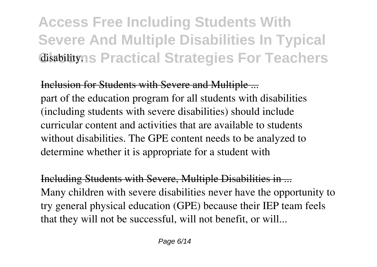## **Access Free Including Students With Severe And Multiple Disabilities In Typical Cisabilityns Practical Strategies For Teachers**

Inclusion for Students with Severe and Multiple ... part of the education program for all students with disabilities (including students with severe disabilities) should include curricular content and activities that are available to students without disabilities. The GPE content needs to be analyzed to determine whether it is appropriate for a student with

Including Students with Severe, Multiple Disabilities in ... Many children with severe disabilities never have the opportunity to try general physical education (GPE) because their IEP team feels that they will not be successful, will not benefit, or will...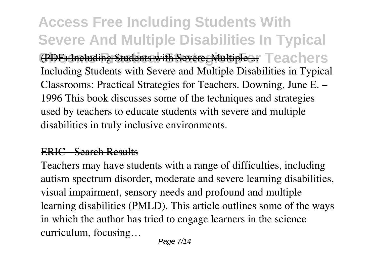**Access Free Including Students With Severe And Multiple Disabilities In Typical (PDF) Including Students with Severe, Multiple ... Teachers** Including Students with Severe and Multiple Disabilities in Typical Classrooms: Practical Strategies for Teachers. Downing, June E. – 1996 This book discusses some of the techniques and strategies used by teachers to educate students with severe and multiple disabilities in truly inclusive environments.

## ERIC - Search Results

Teachers may have students with a range of difficulties, including autism spectrum disorder, moderate and severe learning disabilities, visual impairment, sensory needs and profound and multiple learning disabilities (PMLD). This article outlines some of the ways in which the author has tried to engage learners in the science curriculum, focusing…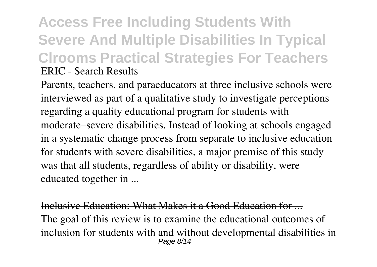## **Access Free Including Students With Severe And Multiple Disabilities In Typical Clrooms Practical Strategies For Teachers** ERIC - Search Results

Parents, teachers, and paraeducators at three inclusive schools were interviewed as part of a qualitative study to investigate perceptions regarding a quality educational program for students with moderate–severe disabilities. Instead of looking at schools engaged in a systematic change process from separate to inclusive education for students with severe disabilities, a major premise of this study was that all students, regardless of ability or disability, were educated together in ...

Inclusive Education: What Makes it a Good Education for The goal of this review is to examine the educational outcomes of inclusion for students with and without developmental disabilities in Page 8/14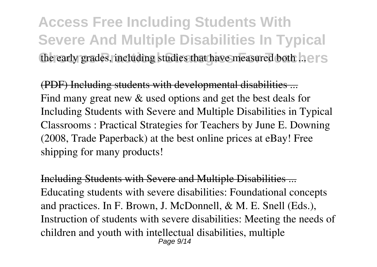**Access Free Including Students With Severe And Multiple Disabilities In Typical** the early grades, including studies that have measured both ... e.r.s.

(PDF) Including students with developmental disabilities ... Find many great new  $&$  used options and get the best deals for Including Students with Severe and Multiple Disabilities in Typical Classrooms : Practical Strategies for Teachers by June E. Downing (2008, Trade Paperback) at the best online prices at eBay! Free shipping for many products!

Including Students with Severe and Multiple Disabilities ... Educating students with severe disabilities: Foundational concepts and practices. In F. Brown, J. McDonnell, & M. E. Snell (Eds.), Instruction of students with severe disabilities: Meeting the needs of children and youth with intellectual disabilities, multiple Page 9/14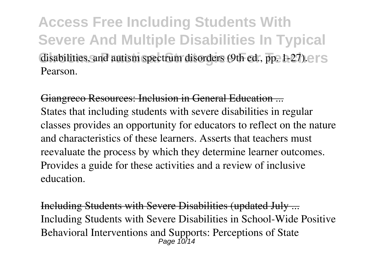**Access Free Including Students With Severe And Multiple Disabilities In Typical** disabilities, and autism spectrum disorders (9th ed., pp. 1-27). Pearson.

Giangreco Resources: Inclusion in General Education ... States that including students with severe disabilities in regular classes provides an opportunity for educators to reflect on the nature and characteristics of these learners. Asserts that teachers must reevaluate the process by which they determine learner outcomes. Provides a guide for these activities and a review of inclusive education.

Including Students with Severe Disabilities (updated July ... Including Students with Severe Disabilities in School-Wide Positive Behavioral Interventions and Supports: Perceptions of State Page 10/14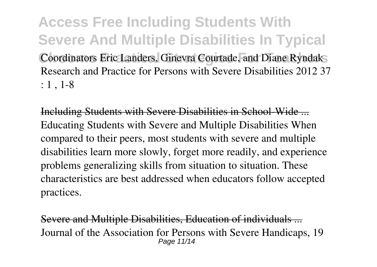**Access Free Including Students With Severe And Multiple Disabilities In Typical** Coordinators Eric Landers, Ginevra Courtade, and Diane Ryndak Research and Practice for Persons with Severe Disabilities 2012 37 : 1 , 1-8

Including Students with Severe Disabilities in School-Wide ... Educating Students with Severe and Multiple Disabilities When compared to their peers, most students with severe and multiple disabilities learn more slowly, forget more readily, and experience problems generalizing skills from situation to situation. These characteristics are best addressed when educators follow accepted practices.

Severe and Multiple Disabilities, Education of individuals ... Journal of the Association for Persons with Severe Handicaps, 19 Page 11/14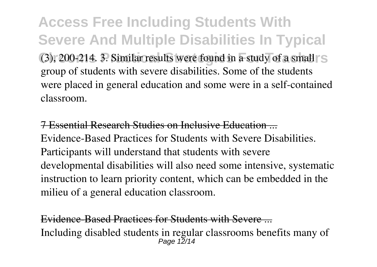**Access Free Including Students With Severe And Multiple Disabilities In Typical (3), 200-214. 3. Similar results were found in a study of a small SCC** group of students with severe disabilities. Some of the students were placed in general education and some were in a self-contained classroom.

7 Essential Research Studies on Inclusive Education ... Evidence-Based Practices for Students with Severe Disabilities. Participants will understand that students with severe developmental disabilities will also need some intensive, systematic instruction to learn priority content, which can be embedded in the milieu of a general education classroom.

Evidence-Based Practices for Students with Severe Including disabled students in regular classrooms benefits many of Page 12/14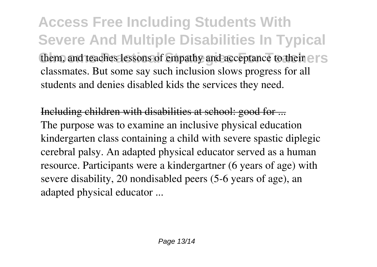**Access Free Including Students With Severe And Multiple Disabilities In Typical** them, and teaches lessons of empathy and acceptance to their expansion of  $\epsilon$ classmates. But some say such inclusion slows progress for all students and denies disabled kids the services they need.

Including children with disabilities at school: good for ... The purpose was to examine an inclusive physical education kindergarten class containing a child with severe spastic diplegic cerebral palsy. An adapted physical educator served as a human resource. Participants were a kindergartner (6 years of age) with severe disability, 20 nondisabled peers (5-6 years of age), an adapted physical educator ...